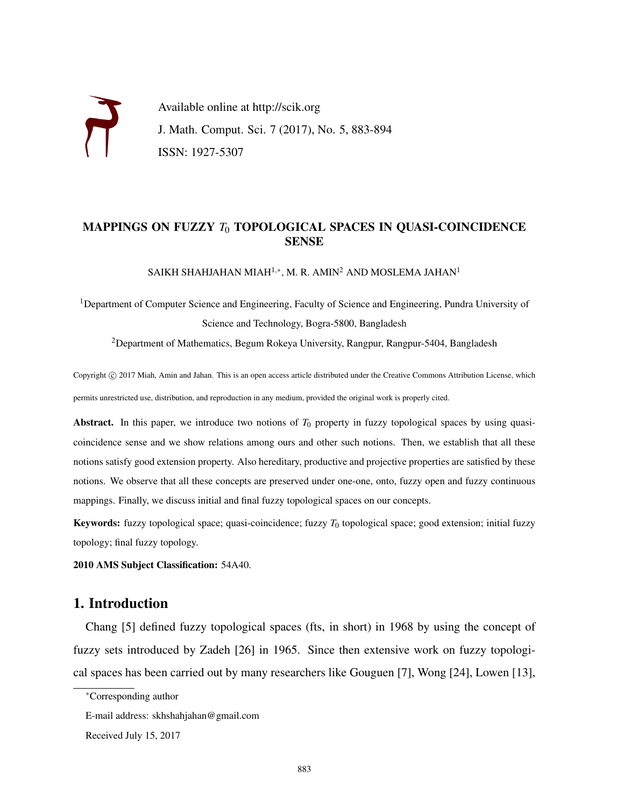Available online at http://scik.org J. Math. Comput. Sci. 7 (2017), No. 5, 883-894 ISSN: 1927-5307

### MAPPINGS ON FUZZY *T*<sup>0</sup> TOPOLOGICAL SPACES IN QUASI-COINCIDENCE **SENSE**

SAIKH SHAHJAHAN MIAH<sup>1,∗</sup>, M. R. AMIN<sup>2</sup> AND MOSLEMA JAHAN<sup>1</sup>

<sup>1</sup>Department of Computer Science and Engineering, Faculty of Science and Engineering, Pundra University of Science and Technology, Bogra-5800, Bangladesh

<sup>2</sup>Department of Mathematics, Begum Rokeya University, Rangpur, Rangpur-5404, Bangladesh

Copyright © 2017 Miah, Amin and Jahan. This is an open access article distributed under the Creative Commons Attribution License, which permits unrestricted use, distribution, and reproduction in any medium, provided the original work is properly cited.

Abstract. In this paper, we introduce two notions of  $T_0$  property in fuzzy topological spaces by using quasicoincidence sense and we show relations among ours and other such notions. Then, we establish that all these notions satisfy good extension property. Also hereditary, productive and projective properties are satisfied by these notions. We observe that all these concepts are preserved under one-one, onto, fuzzy open and fuzzy continuous mappings. Finally, we discuss initial and final fuzzy topological spaces on our concepts.

**Keywords:** fuzzy topological space; quasi-coincidence; fuzzy  $T_0$  topological space; good extension; initial fuzzy topology; final fuzzy topology.

2010 AMS Subject Classification: 54A40.

## 1. Introduction

Chang [5] defined fuzzy topological spaces (fts, in short) in 1968 by using the concept of fuzzy sets introduced by Zadeh [26] in 1965. Since then extensive work on fuzzy topological spaces has been carried out by many researchers like Gouguen [7], Wong [24], Lowen [13],

<sup>∗</sup>Corresponding author

E-mail address: skhshahjahan@gmail.com

Received July 15, 2017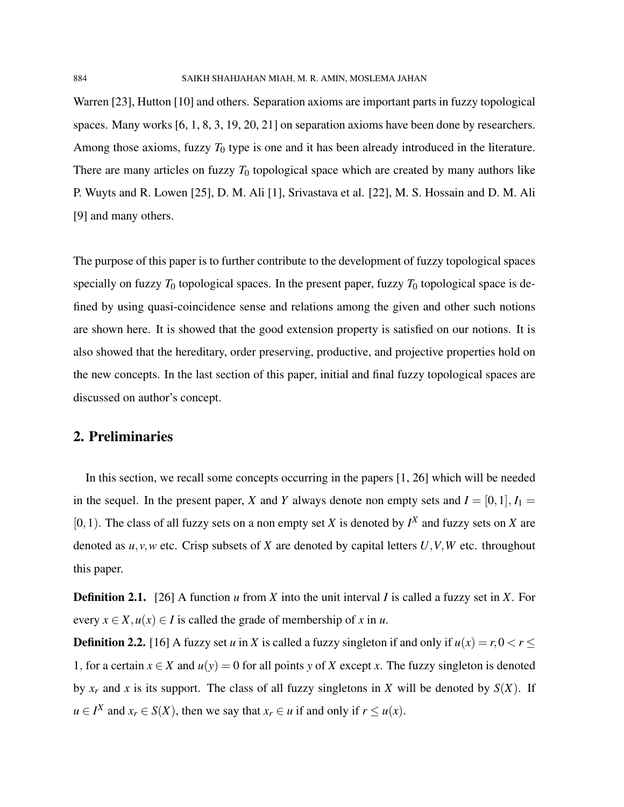Warren [23], Hutton [10] and others. Separation axioms are important parts in fuzzy topological spaces. Many works [6, 1, 8, 3, 19, 20, 21] on separation axioms have been done by researchers. Among those axioms, fuzzy  $T_0$  type is one and it has been already introduced in the literature. There are many articles on fuzzy  $T_0$  topological space which are created by many authors like P. Wuyts and R. Lowen [25], D. M. Ali [1], Srivastava et al. [22], M. S. Hossain and D. M. Ali [9] and many others.

The purpose of this paper is to further contribute to the development of fuzzy topological spaces specially on fuzzy  $T_0$  topological spaces. In the present paper, fuzzy  $T_0$  topological space is defined by using quasi-coincidence sense and relations among the given and other such notions are shown here. It is showed that the good extension property is satisfied on our notions. It is also showed that the hereditary, order preserving, productive, and projective properties hold on the new concepts. In the last section of this paper, initial and final fuzzy topological spaces are discussed on author's concept.

## 2. Preliminaries

In this section, we recall some concepts occurring in the papers [1, 26] which will be needed in the sequel. In the present paper, *X* and *Y* always denote non empty sets and  $I = [0,1], I_1 =$  $[0,1)$ . The class of all fuzzy sets on a non empty set *X* is denoted by  $I<sup>X</sup>$  and fuzzy sets on *X* are denoted as *u*, *v*,*w* etc. Crisp subsets of *X* are denoted by capital letters *U*,*V*,*W* etc. throughout this paper.

**Definition 2.1.** [26] A function  $u$  from  $X$  into the unit interval  $I$  is called a fuzzy set in  $X$ . For every  $x \in X$ ,  $u(x) \in I$  is called the grade of membership of x in u.

**Definition 2.2.** [16] A fuzzy set *u* in *X* is called a fuzzy singleton if and only if  $u(x) = r, 0 < r \leq$ 1, for a certain  $x \in X$  and  $u(y) = 0$  for all points y of X except x. The fuzzy singleton is denoted by  $x_r$  and  $x$  is its support. The class of all fuzzy singletons in  $X$  will be denoted by  $S(X)$ . If  $u \in I^X$  and  $x_r \in S(X)$ , then we say that  $x_r \in u$  if and only if  $r \le u(x)$ .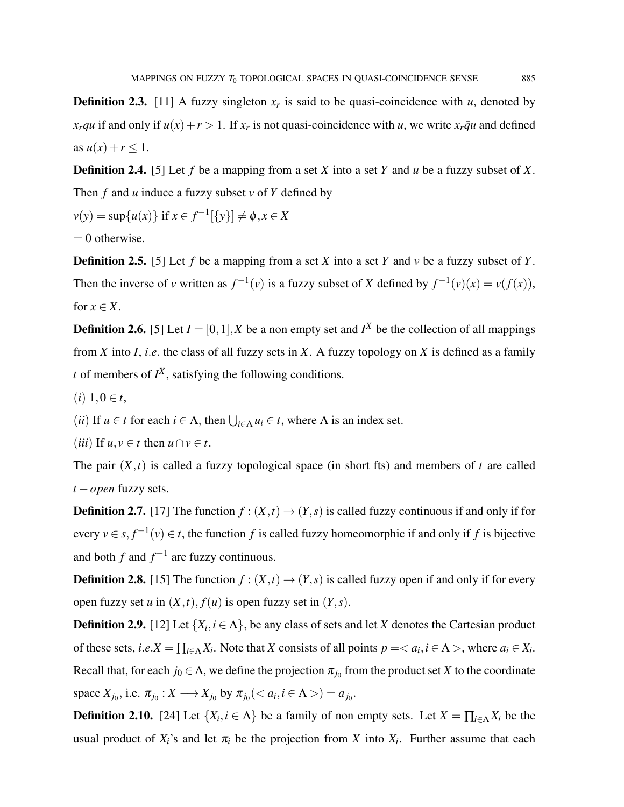**Definition 2.3.** [11] A fuzzy singleton  $x_r$  is said to be quasi-coincidence with *u*, denoted by *x*<sub>*r</sub>* $qu$  if and only if  $u(x) + r > 1$ . If  $x_r$  is not quasi-coincidence with *u*, we write  $x_r\bar{q}u$  and defined</sub> as  $u(x) + r \leq 1$ .

Definition 2.4. [5] Let *f* be a mapping from a set *X* into a set *Y* and *u* be a fuzzy subset of *X*. Then *f* and *u* induce a fuzzy subset *v* of *Y* defined by

 $v(y) = \sup\{u(x)\}$  if  $x \in f^{-1}[\{y\}] \neq \emptyset, x \in X$ 

 $= 0$  otherwise.

Definition 2.5. [5] Let *f* be a mapping from a set *X* into a set *Y* and *v* be a fuzzy subset of *Y*. Then the inverse of *v* written as  $f^{-1}(v)$  is a fuzzy subset of *X* defined by  $f^{-1}(v)(x) = v(f(x))$ , for  $x \in X$ .

**Definition 2.6.** [5] Let  $I = [0, 1]$ , X be a non empty set and  $I<sup>X</sup>$  be the collection of all mappings from *X* into *I*, *i*.*e*. the class of all fuzzy sets in *X*. A fuzzy topology on *X* is defined as a family *t* of members of  $I<sup>X</sup>$ , satisfying the following conditions.

 $(i)$  1, 0  $\in$  *t*,

(*ii*) If  $u \in t$  for each  $i \in \Lambda$ , then  $\bigcup_{i \in \Lambda} u_i \in t$ , where  $\Lambda$  is an index set.

(iii) If 
$$
u, v \in t
$$
 then  $u \cap v \in t$ .

The pair  $(X, t)$  is called a fuzzy topological space (in short fts) and members of  $t$  are called *t* −*open* fuzzy sets.

**Definition 2.7.** [17] The function  $f : (X,t) \to (Y,s)$  is called fuzzy continuous if and only if for every  $v \in s$ ,  $f^{-1}(v) \in t$ , the function *f* is called fuzzy homeomorphic if and only if *f* is bijective and both  $f$  and  $f^{-1}$  are fuzzy continuous.

**Definition 2.8.** [15] The function  $f : (X,t) \to (Y,s)$  is called fuzzy open if and only if for every open fuzzy set *u* in  $(X, t)$ ,  $f(u)$  is open fuzzy set in  $(Y, s)$ .

**Definition 2.9.** [12] Let  $\{X_i, i \in \Lambda\}$ , be any class of sets and let *X* denotes the Cartesian product of these sets, *i.e.X* =  $\prod_{i \in \Lambda} X_i$ . Note that *X* consists of all points  $p = \langle a_i, i \in \Lambda \rangle$ , where  $a_i \in X_i$ . Recall that, for each  $j_0 \in \Lambda$ , we define the projection  $\pi_{j_0}$  from the product set *X* to the coordinate space  $X_{j_0}$ , i.e.  $\pi_{j_0} : X \longrightarrow X_{j_0}$  by  $\pi_{j_0}(< a_i, i \in \Lambda>) = a_{j_0}$ .

**Definition 2.10.** [24] Let  $\{X_i, i \in \Lambda\}$  be a family of non empty sets. Let  $X = \prod_{i \in \Lambda} X_i$  be the usual product of  $X_i$ 's and let  $\pi_i$  be the projection from *X* into  $X_i$ . Further assume that each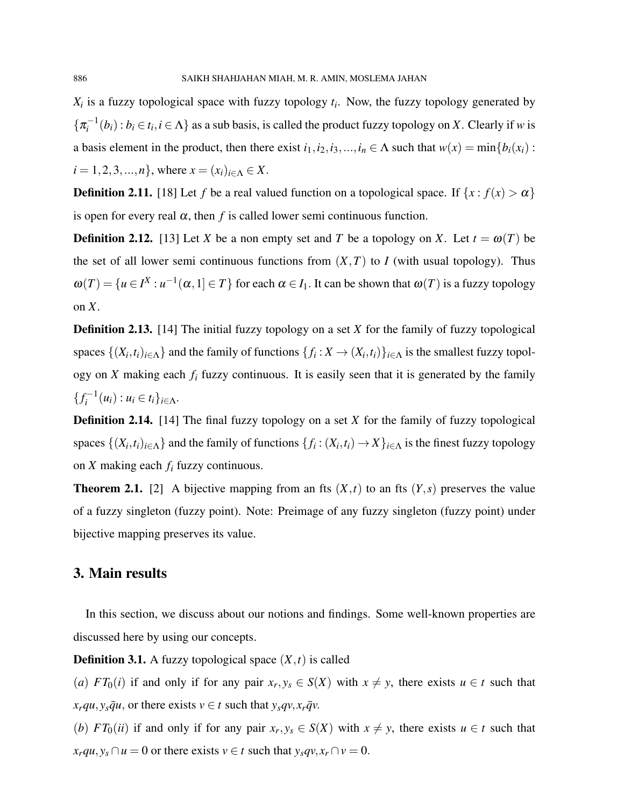$X_i$  is a fuzzy topological space with fuzzy topology  $t_i$ . Now, the fuzzy topology generated by  $\{\pi_i^{-1}$  $i_i^{-1}(b_i)$ :  $b_i \in t_i, i \in \Lambda$  as a sub basis, is called the product fuzzy topology on *X*. Clearly if *w* is a basis element in the product, then there exist  $i_1, i_2, i_3, ..., i_n \in \Lambda$  such that  $w(x) = \min\{b_i(x_i) :$  $i = 1, 2, 3, ..., n$ , where  $x = (x_i)_{i \in \Lambda} \in X$ .

**Definition 2.11.** [18] Let *f* be a real valued function on a topological space. If  $\{x : f(x) > \alpha\}$ is open for every real  $\alpha$ , then f is called lower semi continuous function.

**Definition 2.12.** [13] Let *X* be a non empty set and *T* be a topology on *X*. Let  $t = \omega(T)$  be the set of all lower semi continuous functions from  $(X, T)$  to *I* (with usual topology). Thus  $\omega(T) = \{u \in I^X : u^{-1}(\alpha, 1] \in T\}$  for each  $\alpha \in I_1$ . It can be shown that  $\omega(T)$  is a fuzzy topology on *X*.

Definition 2.13. [14] The initial fuzzy topology on a set *X* for the family of fuzzy topological spaces  $\{(X_i, t_i)_{i \in \Lambda}\}\$  and the family of functions  $\{f_i: X \to (X_i, t_i)\}_{i \in \Lambda}\$  is the smallest fuzzy topology on *X* making each *f<sup>i</sup>* fuzzy continuous. It is easily seen that it is generated by the family  ${f_i^{-1}}$  $\sum_{i}^{i-1} (u_i)$  :  $u_i \in t_i$ }<sub>*i*∈Λ</sub>.

**Definition 2.14.** [14] The final fuzzy topology on a set *X* for the family of fuzzy topological spaces  $\{(X_i, t_i)_{i \in \Lambda}\}\$  and the family of functions  $\{f_i: (X_i, t_i) \to X\}_{i \in \Lambda}\$  is the finest fuzzy topology on *X* making each *f<sup>i</sup>* fuzzy continuous.

**Theorem 2.1.** [2] A bijective mapping from an fts  $(X,t)$  to an fts  $(Y,s)$  preserves the value of a fuzzy singleton (fuzzy point). Note: Preimage of any fuzzy singleton (fuzzy point) under bijective mapping preserves its value.

# 3. Main results

In this section, we discuss about our notions and findings. Some well-known properties are discussed here by using our concepts.

**Definition 3.1.** A fuzzy topological space  $(X,t)$  is called

(*a*)  $FT_0(i)$  if and only if for any pair  $x_r, y_s \in S(X)$  with  $x \neq y$ , there exists  $u \in t$  such that  $x_r q u$ ,  $y_s \bar{q} u$ , or there exists  $v \in t$  such that  $y_s q v$ ,  $x_r \bar{q} v$ .

(*b*)  $FT_0(ii)$  if and only if for any pair  $x_r, y_s \in S(X)$  with  $x \neq y$ , there exists  $u \in t$  such that  $x_r q u$ ,  $y_s \cap u = 0$  or there exists  $v \in t$  such that  $y_s q v$ ,  $x_r \cap v = 0$ .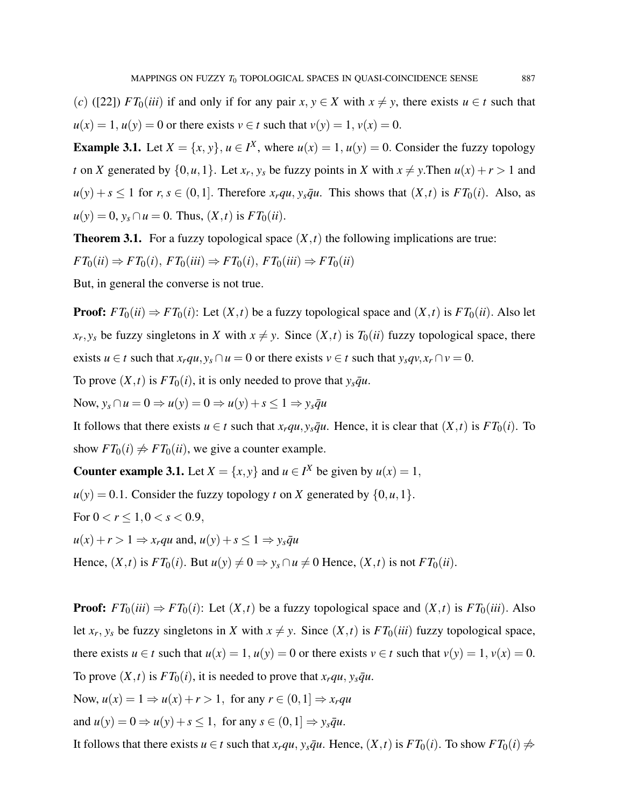(*c*) ([22]) *FT*<sub>0</sub>(*iii*) if and only if for any pair *x*, *y* ∈ *X* with  $x \neq y$ , there exists  $u \in t$  such that  $u(x) = 1$ ,  $u(y) = 0$  or there exists  $v \in t$  such that  $v(y) = 1$ ,  $v(x) = 0$ .

**Example 3.1.** Let  $X = \{x, y\}$ ,  $u \in I^X$ , where  $u(x) = 1$ ,  $u(y) = 0$ . Consider the fuzzy topology *t* on *X* generated by  $\{0, u, 1\}$ . Let  $x_r, y_s$  be fuzzy points in *X* with  $x \neq y$ . Then  $u(x) + r > 1$  and  $u(y) + s \le 1$  for  $r, s \in (0,1]$ . Therefore  $x_rqu, y_s\bar{q}u$ . This shows that  $(X,t)$  is  $FT_0(i)$ . Also, as  $u(y) = 0$ ,  $y_s \cap u = 0$ . Thus,  $(X, t)$  is  $FT_0(ii)$ .

**Theorem 3.1.** For a fuzzy topological space  $(X,t)$  the following implications are true:

 $FT_0(ii) \Rightarrow FT_0(i)$ ,  $FT_0(iii) \Rightarrow FT_0(i)$ ,  $FT_0(iii) \Rightarrow FT_0(ii)$ 

But, in general the converse is not true.

**Proof:**  $FT_0(ii) \Rightarrow FT_0(i)$ : Let  $(X,t)$  be a fuzzy topological space and  $(X,t)$  is  $FT_0(ii)$ . Also let  $x_r, y_s$  be fuzzy singletons in *X* with  $x \neq y$ . Since  $(X, t)$  is  $T_0(ii)$  fuzzy topological space, there exists *u* ∈ *t* such that  $x_r q u$ ,  $y_s \cap u = 0$  or there exists  $v \in t$  such that  $y_s q v$ ,  $x_r \cap v = 0$ .

To prove  $(X, t)$  is  $FT_0(i)$ , it is only needed to prove that  $y_s\bar{q}u$ .

Now,  $y_s \cap u = 0 \Rightarrow u(y) = 0 \Rightarrow u(y) + s \leq 1 \Rightarrow y_s \bar{q}u$ 

It follows that there exists  $u \in t$  such that  $x_rqu, y_s\bar{q}u$ . Hence, it is clear that  $(X, t)$  is  $FT_0(i)$ . To show  $FT_0(i) \neq FT_0(ii)$ , we give a counter example.

**Counter example 3.1.** Let  $X = \{x, y\}$  and  $u \in I^X$  be given by  $u(x) = 1$ ,

 $u(y) = 0.1$ . Consider the fuzzy topology *t* on *X* generated by  $\{0, u, 1\}$ .

For  $0 < r \leq 1, 0 < s < 0.9$ ,

 $u(x) + r > 1 \Rightarrow x_r q u$  and,  $u(y) + s \leq 1 \Rightarrow y_s \bar{q} u$ 

Hence,  $(X,t)$  is  $FT_0(i)$ . But  $u(y) \neq 0 \Rightarrow y_s \cap u \neq 0$  Hence,  $(X,t)$  is not  $FT_0(ii)$ .

**Proof:**  $FT_0(iii) \Rightarrow FT_0(i)$ : Let  $(X,t)$  be a fuzzy topological space and  $(X,t)$  is  $FT_0(iii)$ . Also let  $x_r$ ,  $y_s$  be fuzzy singletons in *X* with  $x \neq y$ . Since  $(X,t)$  is  $FT_0(iii)$  fuzzy topological space, there exists  $u \in t$  such that  $u(x) = 1$ ,  $u(y) = 0$  or there exists  $v \in t$  such that  $v(y) = 1$ ,  $v(x) = 0$ . To prove  $(X, t)$  is  $FT_0(i)$ , it is needed to prove that  $x_rqu$ ,  $y_s\bar{q}u$ . Now,  $u(x) = 1 \Rightarrow u(x) + r > 1$ , for any  $r \in (0,1] \Rightarrow x_r q u$ 

and  $u(y) = 0 \Rightarrow u(y) + s \le 1$ , for any  $s \in (0, 1] \Rightarrow y_s \bar{q}u$ .

It follows that there exists  $u \in t$  such that  $x_rqu$ ,  $y_s\bar{q}u$ . Hence,  $(X, t)$  is  $FT_0(i)$ . To show  $FT_0(i) \neq$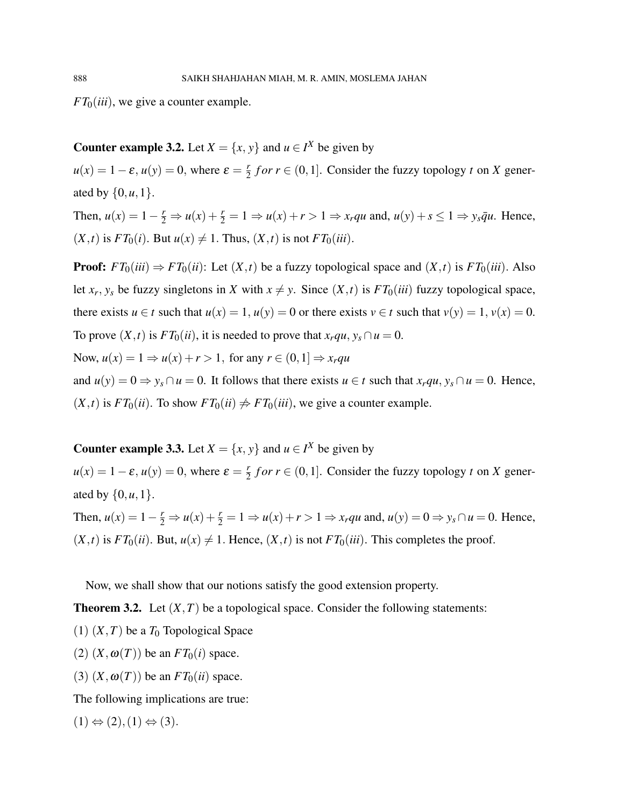$FT<sub>0</sub>(iii)$ , we give a counter example.

**Counter example 3.2.** Let  $X = \{x, y\}$  and  $u \in I^X$  be given by

 $u(x) = 1 - \varepsilon$ ,  $u(y) = 0$ , where  $\varepsilon = \frac{r}{2}$  $\frac{r}{2}$  *for*  $r \in (0,1]$ . Consider the fuzzy topology *t* on *X* generated by  $\{0, u, 1\}$ .

Then,  $u(x) = 1 - \frac{r}{2} \Rightarrow u(x) + \frac{r}{2} = 1 \Rightarrow u(x) + r > 1 \Rightarrow x_r q u$  and,  $u(y) + s \le 1 \Rightarrow y_s \bar{q} u$ . Hence,  $(X,t)$  is  $FT_0(i)$ . But  $u(x) \neq 1$ . Thus,  $(X,t)$  is not  $FT_0(iii)$ .

**Proof:**  $FT_0(iii) \Rightarrow FT_0(ii)$ : Let  $(X,t)$  be a fuzzy topological space and  $(X,t)$  is  $FT_0(iii)$ . Also let  $x_r$ ,  $y_s$  be fuzzy singletons in *X* with  $x \neq y$ . Since  $(X,t)$  is  $FT_0(iii)$  fuzzy topological space, there exists  $u \in t$  such that  $u(x) = 1$ ,  $u(y) = 0$  or there exists  $v \in t$  such that  $v(y) = 1$ ,  $v(x) = 0$ . To prove  $(X, t)$  is  $FT_0(ii)$ , it is needed to prove that  $x_rqu, y_s \cap u = 0$ . Now,  $u(x) = 1 \Rightarrow u(x) + r > 1$ , for any  $r \in (0, 1] \Rightarrow x_r q u$ and  $u(y) = 0 \Rightarrow y_s \cap u = 0$ . It follows that there exists  $u \in t$  such that  $x_r q u, y_s \cap u = 0$ . Hence,  $(X,t)$  is  $FT_0(ii)$ . To show  $FT_0(ii) \neq FT_0(iii)$ , we give a counter example.

**Counter example 3.3.** Let  $X = \{x, y\}$  and  $u \in I^X$  be given by

 $u(x) = 1 - \varepsilon$ ,  $u(y) = 0$ , where  $\varepsilon = \frac{r}{2}$  $\frac{r}{2}$  *for*  $r \in (0,1]$ . Consider the fuzzy topology *t* on *X* generated by  $\{0, u, 1\}$ .

Then,  $u(x) = 1 - \frac{r}{2} \Rightarrow u(x) + \frac{r}{2} = 1 \Rightarrow u(x) + r > 1 \Rightarrow x_r qu$  and,  $u(y) = 0 \Rightarrow y_s \cap u = 0$ . Hence,  $(X,t)$  is  $FT_0(ii)$ . But,  $u(x) \neq 1$ . Hence,  $(X,t)$  is not  $FT_0(iii)$ . This completes the proof.

Now, we shall show that our notions satisfy the good extension property.

**Theorem 3.2.** Let  $(X, T)$  be a topological space. Consider the following statements:

 $(1)$   $(X, T)$  be a  $T_0$  Topological Space

(2)  $(X, \omega(T))$  be an  $FT_0(i)$  space.

(3)  $(X, \omega(T))$  be an  $FT_0(ii)$  space.

The following implications are true:

$$
(1) \Leftrightarrow (2), (1) \Leftrightarrow (3).
$$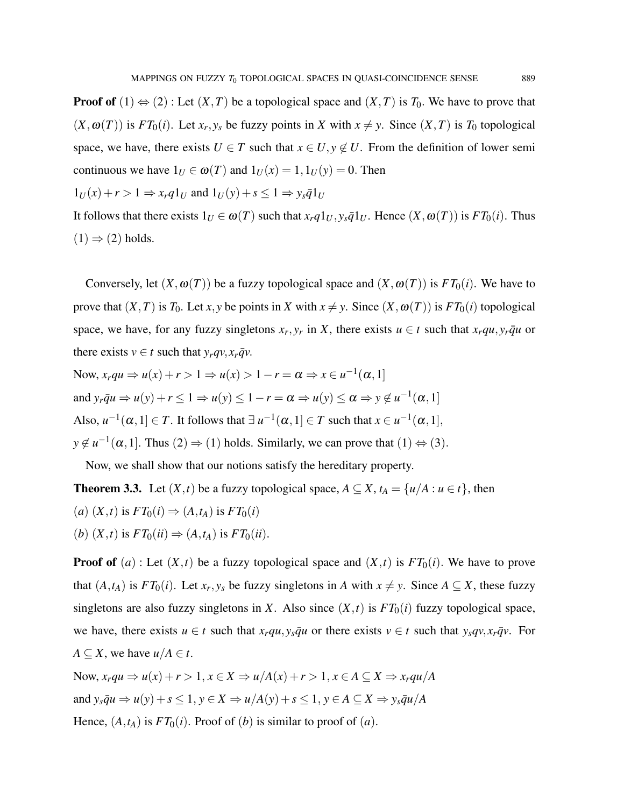**Proof of**  $(1) \Leftrightarrow (2)$ : Let  $(X, T)$  be a topological space and  $(X, T)$  is  $T_0$ . We have to prove that  $(X, \omega(T))$  is  $FT_0(i)$ . Let  $x_r, y_s$  be fuzzy points in *X* with  $x \neq y$ . Since  $(X, T)$  is  $T_0$  topological space, we have, there exists  $U \in T$  such that  $x \in U, y \notin U$ . From the definition of lower semi continuous we have  $1_U \in \omega(T)$  and  $1_U(x) = 1, 1_U(y) = 0$ . Then

 $1_U(x) + r > 1 \Rightarrow x_r q 1_U$  and  $1_U(y) + s \leq 1 \Rightarrow y_s \bar{q} 1_U$ 

It follows that there exists  $1_U \in \omega(T)$  such that  $x_r q 1_U, y_s \bar{q} 1_U$ . Hence  $(X, \omega(T))$  is  $FT_0(i)$ . Thus  $(1) \Rightarrow (2)$  holds.

Conversely, let  $(X, \omega(T))$  be a fuzzy topological space and  $(X, \omega(T))$  is  $FT_0(i)$ . We have to prove that  $(X, T)$  is  $T_0$ . Let *x*, *y* be points in *X* with  $x \neq y$ . Since  $(X, \omega(T))$  is  $FT_0(i)$  topological space, we have, for any fuzzy singletons  $x_r, y_r$  in *X*, there exists  $u \in t$  such that  $x_rqu, y_r\bar{q}u$  or there exists  $v \in t$  such that  $y_r q v, x_r \bar{q} v$ .

Now, 
$$
x_r qu \Rightarrow u(x) + r > 1 \Rightarrow u(x) > 1 - r = \alpha \Rightarrow x \in u^{-1}(\alpha, 1]
$$
  
and  $y_r \bar{q} u \Rightarrow u(y) + r \le 1 \Rightarrow u(y) \le 1 - r = \alpha \Rightarrow u(y) \le \alpha \Rightarrow y \notin u^{-1}(\alpha, 1]$   
Also,  $u^{-1}(\alpha, 1] \in T$ . It follows that  $\exists u^{-1}(\alpha, 1] \in T$  such that  $x \in u^{-1}(\alpha, 1]$ ,  
 $y \notin u^{-1}(\alpha, 1]$ . Thus (2)  $\Rightarrow$  (1) holds. Similarly, we can prove that (1)  $\Leftrightarrow$  (3).

Now, we shall show that our notions satisfy the hereditary property.

**Theorem 3.3.** Let  $(X, t)$  be a fuzzy topological space,  $A \subseteq X$ ,  $t_A = \{u/A : u \in t\}$ , then  $(a)$   $(X,t)$  is  $FT_0(i) \Rightarrow (A,t_A)$  is  $FT_0(i)$ (*b*)  $(X,t)$  is  $FT_0(ii) \Rightarrow (A,t_A)$  is  $FT_0(ii)$ .

**Proof of** (*a*) : Let  $(X,t)$  be a fuzzy topological space and  $(X,t)$  is  $FT_0(i)$ . We have to prove that  $(A, t_A)$  is  $FT_0(i)$ . Let  $x_r, y_s$  be fuzzy singletons in *A* with  $x \neq y$ . Since  $A \subseteq X$ , these fuzzy singletons are also fuzzy singletons in *X*. Also since  $(X, t)$  is  $FT<sub>0</sub>(i)$  fuzzy topological space, we have, there exists  $u \in t$  such that  $x_r q u$ ,  $y_s \bar{q} u$  or there exists  $v \in t$  such that  $y_s q v$ ,  $x_r \bar{q} v$ . For  $A \subseteq X$ , we have  $u/A \in t$ .

Now,  $x_r q u \Rightarrow u(x) + r > 1$ ,  $x \in X \Rightarrow u/A(x) + r > 1$ ,  $x \in A \subseteq X \Rightarrow x_r q u/A$ and  $y_s\bar{q}u \Rightarrow u(y) + s \leq 1$ ,  $y \in X \Rightarrow u/A(y) + s \leq 1$ ,  $y \in A \subseteq X \Rightarrow y_s\bar{q}u/A$ Hence,  $(A, t_A)$  is  $FT_0(i)$ . Proof of (*b*) is similar to proof of (*a*).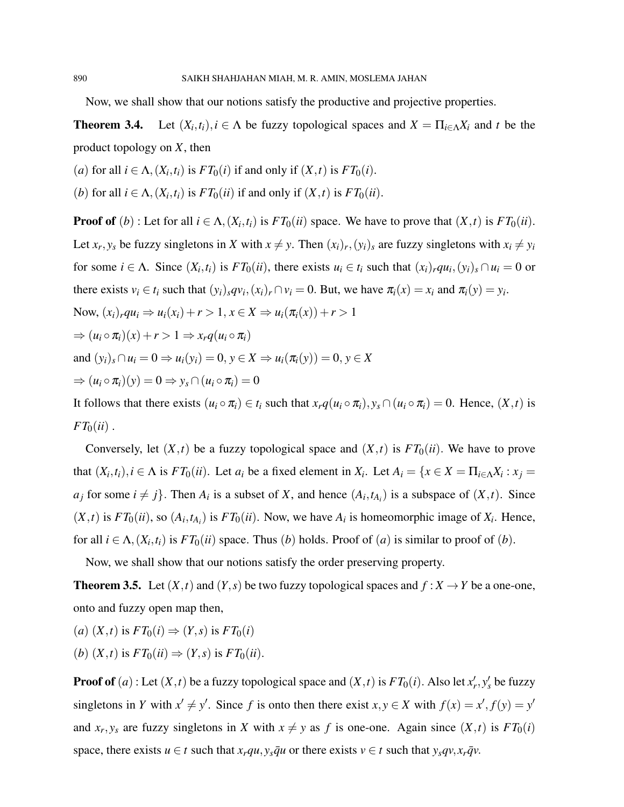Now, we shall show that our notions satisfy the productive and projective properties.

**Theorem 3.4.** Let  $(X_i, t_i)$ ,  $i \in \Lambda$  be fuzzy topological spaces and  $X = \prod_{i \in \Lambda} X_i$  and t be the product topology on *X*, then

(*a*) for all  $i \in \Lambda$ ,  $(X_i, t_i)$  is  $FT_0(i)$  if and only if  $(X, t)$  is  $FT_0(i)$ .

(*b*) for all  $i \in \Lambda$ ,  $(X_i, t_i)$  is  $FT_0(ii)$  if and only if  $(X, t)$  is  $FT_0(ii)$ .

**Proof of**  $(b)$ : Let for all  $i \in \Lambda$ ,  $(X_i, t_i)$  is  $FT_0(ii)$  space. We have to prove that  $(X, t)$  is  $FT_0(ii)$ . Let  $x_r, y_s$  be fuzzy singletons in *X* with  $x \neq y$ . Then  $(x_i)_r, (y_i)_s$  are fuzzy singletons with  $x_i \neq y_i$ for some  $i \in \Lambda$ . Since  $(X_i, t_i)$  is  $FT_0(ii)$ , there exists  $u_i \in t_i$  such that  $(x_i)_r q u_i$ ,  $(y_i)_s \cap u_i = 0$  or there exists  $v_i \in t_i$  such that  $(y_i)_s qv_i, (x_i)_r \cap v_i = 0$ . But, we have  $\pi_i(x) = x_i$  and  $\pi_i(y) = y_i$ .

Now,  $(x_i)_r q u_i \Rightarrow u_i(x_i) + r > 1, x \in X \Rightarrow u_i(\pi_i(x)) + r > 1$ 

$$
\Rightarrow (u_i \circ \pi_i)(x) + r > 1 \Rightarrow x_r q(u_i \circ \pi_i)
$$

and  $(y_i)_s \cap u_i = 0 \Rightarrow u_i(y_i) = 0, y \in X \Rightarrow u_i(\pi_i(y)) = 0, y \in X$ 

$$
\Rightarrow (u_i \circ \pi_i)(y) = 0 \Rightarrow y_s \cap (u_i \circ \pi_i) = 0
$$

It follows that there exists  $(u_i \circ \pi_i) \in t_i$  such that  $x_r q(u_i \circ \pi_i)$ ,  $y_s \cap (u_i \circ \pi_i) = 0$ . Hence,  $(X, t)$  is  $FT_0(ii)$ .

Conversely, let  $(X,t)$  be a fuzzy topological space and  $(X,t)$  is  $FT_0(it)$ . We have to prove that  $(X_i,t_i), i \in \Lambda$  is  $FT_0(ii)$ . Let  $a_i$  be a fixed element in  $X_i$ . Let  $A_i = \{x \in X = \Pi_{i \in \Lambda} X_i : x_j =$ *a*<sub>*j*</sub> for some  $i \neq j$ . Then  $A_i$  is a subset of *X*, and hence  $(A_i, t_{A_i})$  is a subspace of  $(X, t)$ . Since  $(X,t)$  is  $FT_0(ii)$ , so  $(A_i, t_{A_i})$  is  $FT_0(ii)$ . Now, we have  $A_i$  is homeomorphic image of  $X_i$ . Hence, for all  $i \in \Lambda$ ,  $(X_i, t_i)$  is  $FT_0(ii)$  space. Thus  $(b)$  holds. Proof of  $(a)$  is similar to proof of  $(b)$ .

Now, we shall show that our notions satisfy the order preserving property.

**Theorem 3.5.** Let  $(X, t)$  and  $(Y, s)$  be two fuzzy topological spaces and  $f : X \to Y$  be a one-one, onto and fuzzy open map then,

(a) 
$$
(X,t)
$$
 is  $FT_0(i) \Rightarrow (Y,s)$  is  $FT_0(i)$ 

(b) 
$$
(X,t)
$$
 is  $FT_0(ii) \Rightarrow (Y,s)$  is  $FT_0(ii)$ .

**Proof of**  $(a)$ : Let  $(X, t)$  be a fuzzy topological space and  $(X, t)$  is  $FT_0(i)$ . Also let  $x'_r, y'_s$  be fuzzy singletons in *Y* with  $x' \neq y'$ . Since *f* is onto then there exist  $x, y \in X$  with  $f(x) = x'$ ,  $f(y) = y'$ and  $x_r, y_s$  are fuzzy singletons in *X* with  $x \neq y$  as *f* is one-one. Again since  $(X,t)$  is  $FT_0(i)$ space, there exists  $u \in t$  such that  $x_r q u$ ,  $y_s \bar{q} u$  or there exists  $v \in t$  such that  $y_s q v$ ,  $x_r \bar{q} v$ .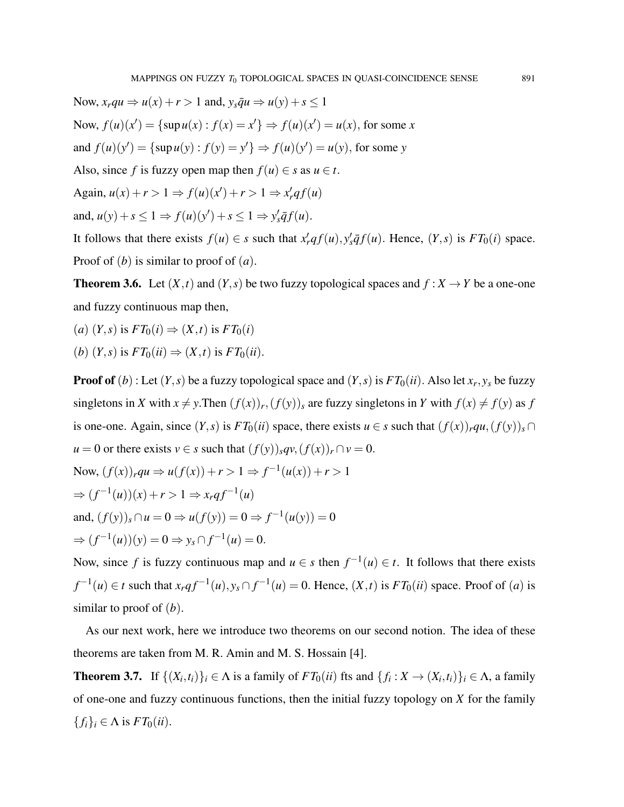Now,  $x_rqu \Rightarrow u(x) + r > 1$  and,  $y_s\bar{q}u \Rightarrow u(y) + s \leq 1$ Now,  $f(u)(x') = \{ \sup u(x) : f(x) = x' \} \Rightarrow f(u)(x') = u(x)$ , for some *x* and  $f(u)(y') = \{ \text{sup } u(y) : f(y) = y' \} \Rightarrow f(u)(y') = u(y)$ , for some *y* Also, since *f* is fuzzy open map then  $f(u) \in s$  as  $u \in t$ . Again,  $u(x) + r > 1 \Rightarrow f(u)(x') + r > 1 \Rightarrow x'_r q f(u)$ and,  $u(y) + s \le 1 \Rightarrow f(u)(y') + s \le 1 \Rightarrow y'_s \bar{q} f(u)$ . It follows that there exists  $f(u) \in s$  such that  $x'_r q f(u), y'_s \bar{q} f(u)$ . Hence,  $(Y, s)$  is  $FT_0(i)$  space.

Proof of (*b*) is similar to proof of (*a*).

**Theorem 3.6.** Let  $(X, t)$  and  $(Y, s)$  be two fuzzy topological spaces and  $f : X \to Y$  be a one-one and fuzzy continuous map then,

- $(a)$   $(Y, s)$  is  $FT_0(i) \Rightarrow (X, t)$  is  $FT_0(i)$
- (*b*)  $(Y, s)$  is  $FT_0(ii) \Rightarrow (X, t)$  is  $FT_0(ii)$ .

**Proof of**  $(b)$ : Let  $(Y, s)$  be a fuzzy topological space and  $(Y, s)$  is  $FT_0(ii)$ . Also let  $x_r, y_s$  be fuzzy singletons in *X* with  $x \neq y$ . Then  $(f(x))_r$ ,  $(f(y))_s$  are fuzzy singletons in *Y* with  $f(x) \neq f(y)$  as *f* is one-one. Again, since  $(Y, s)$  is  $FT_0(ii)$  space, there exists  $u \in s$  such that  $(f(x))_r qu, (f(y))_s \cap$ *u* = 0 or there exists *v* ∈ *s* such that  $(f(y))_s qv$ , $(f(x))_r ∩ v = 0$ . Now,  $(f(x))_r q u \Rightarrow u(f(x)) + r > 1 \Rightarrow f^{-1}(u(x)) + r > 1$  $\Rightarrow (f^{-1}(u))(x) + r > 1 \Rightarrow x_r q f^{-1}(u)$ and,  $(f(y))_s \cap u = 0 \Rightarrow u(f(y)) = 0 \Rightarrow f^{-1}(u(y)) = 0$  $\Rightarrow (f^{-1}(u))(y) = 0 \Rightarrow y_s \cap f^{-1}(u) = 0.$ 

Now, since f is fuzzy continuous map and  $u \in s$  then  $f^{-1}(u) \in t$ . It follows that there exists  $f^{-1}(u) \in t$  such that  $x_r q f^{-1}(u)$ ,  $y_s \cap f^{-1}(u) = 0$ . Hence,  $(X, t)$  is  $FT_0(ii)$  space. Proof of  $(a)$  is similar to proof of (*b*).

As our next work, here we introduce two theorems on our second notion. The idea of these theorems are taken from M. R. Amin and M. S. Hossain [4].

**Theorem 3.7.** If  $\{(X_i,t_i)\}_i \in \Lambda$  is a family of  $FT_0(ii)$  fts and  $\{f_i: X \to (X_i,t_i)\}_i \in \Lambda$ , a family of one-one and fuzzy continuous functions, then the initial fuzzy topology on *X* for the family  ${f_i}_i \in \Lambda$  is  $FT_0(ii)$ .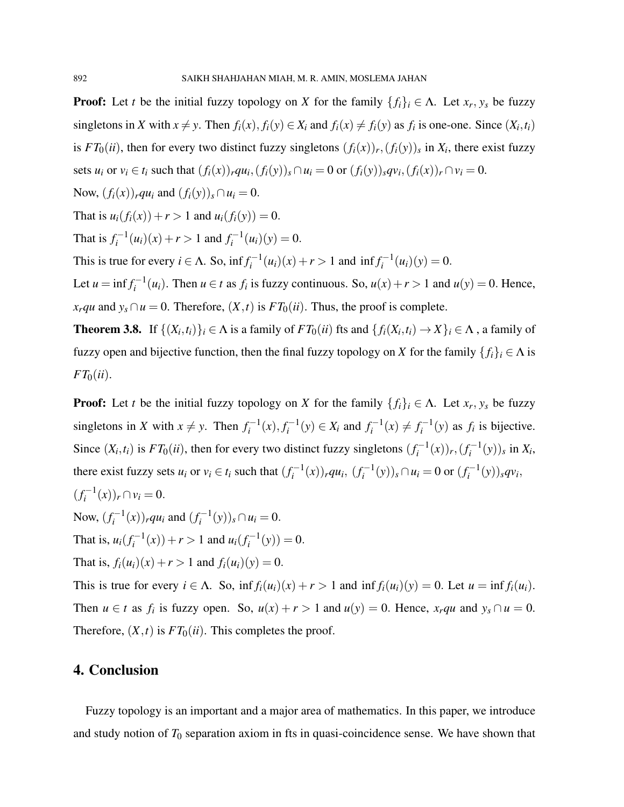**Proof:** Let *t* be the initial fuzzy topology on *X* for the family  $\{f_i\}_i \in \Lambda$ . Let  $x_r, y_s$  be fuzzy singletons in X with  $x \neq y$ . Then  $f_i(x), f_i(y) \in X_i$  and  $f_i(x) \neq f_i(y)$  as  $f_i$  is one-one. Since  $(X_i, t_i)$ is  $FT_0(ii)$ , then for every two distinct fuzzy singletons  $(f_i(x))_r$ ,  $(f_i(y))_s$  in  $X_i$ , there exist fuzzy sets  $u_i$  or  $v_i \in t_i$  such that  $(f_i(x))_r q u_i$ ,  $(f_i(y))_s \cap u_i = 0$  or  $(f_i(y))_s q v_i$ ,  $(f_i(x))_r \cap v_i = 0$ .

Now,  $(f_i(x))$ *r* $qu_i$  and  $(f_i(y))$ <sub>*s*</sub> ∩  $u_i = 0$ .

That is  $u_i(f_i(x)) + r > 1$  and  $u_i(f_i(y)) = 0$ .

That is  $f_i^{-1}$  $f_i^{-1}(u_i)(x) + r > 1$  and  $f_i^{-1}$  $i^{-1}(u_i)(y) = 0.$ 

This is true for every  $i \in \Lambda$ . So,  $\inf f_i^{-1}$  $i_i^{-1}(u_i)(x) + r > 1$  and  $\inf f_i^{-1}$  $\int_{i}^{t-1} (u_i)(y) = 0.$ 

Let  $u = \inf f_i^{-1}$  $i_i^{-1}(u_i)$ . Then  $u \in t$  as  $f_i$  is fuzzy continuous. So,  $u(x) + r > 1$  and  $u(y) = 0$ . Hence, *x*<sup>*r*</sup>*qu* and *y*<sup>*s*</sup> ∩ *u* = 0. Therefore,  $(X, t)$  is *FT*<sub>0</sub>(*ii*). Thus, the proof is complete.

**Theorem 3.8.** If  $\{(X_i,t_i)\}_i \in \Lambda$  is a family of  $FT_0(ii)$  fts and  $\{f_i(X_i,t_i) \to X\}_i \in \Lambda$ , a family of fuzzy open and bijective function, then the final fuzzy topology on *X* for the family  $\{f_i\}_i \in \Lambda$  is *FT*0(*ii*).

**Proof:** Let *t* be the initial fuzzy topology on *X* for the family  $\{f_i\}_i \in \Lambda$ . Let  $x_r, y_s$  be fuzzy singletons in *X* with  $x \neq y$ . Then  $f_i^{-1}$  $f_i^{-1}(x)$ ,  $f_i^{-1}$ *i*<sup>-1</sup>(*y*) ∈ *X<sub>i</sub>* and  $f_i^{-1}$  $f_i^{-1}(x) \neq f_i^{-1}$  $f_i^{-1}(y)$  as  $f_i$  is bijective. Since  $(X_i, t_i)$  is  $FT_0(ii)$ , then for every two distinct fuzzy singletons  $(f_i^{-1})$  $(i^{-1}(x))_r$ ,  $(f_i^{-1})$  $(i^{-1}(y))_s$  in  $X_i$ , there exist fuzzy sets *u<sub>i</sub>* or  $v_i \in t_i$  such that  $(f_i^{-1})$  $(i^{-1}(x))_r q u_i$ ,  $(f_i^{-1})$  $(i^{-1}(y))_s \cap u_i = 0$  or  $(f_i^{-1})$  $\int_{i}^{-1}(y)g_{}dy_{i}$  $(f_i^{-1})$  $\int_{i}^{i-1}(x)$ *r*∩*v<sub>i</sub>* = 0. Now,  $(f_i^{-1})$  $f_i^{-1}(x)$ *r* $q u_i$  and  $(f_i^{-1})$  $\int_{i}^{i-1} (y)$ )<sub>*s*</sub> ∩ *u*<sub>*i*</sub> = 0. That is,  $u_i(f_i^{-1})$  $f_i^{-1}(x)$  + *r* > 1 and *u<sub>i</sub>*( $f_i^{-1}$  $j_i^{-1}(y) = 0.$ That is,  $f_i(u_i)(x) + r > 1$  and  $f_i(u_i)(y) = 0$ . This is true for every  $i \in \Lambda$ . So,  $\inf f_i(u_i)(x) + r > 1$  and  $\inf f_i(u_i)(y) = 0$ . Let  $u = \inf f_i(u_i)$ . Then  $u \in t$  as  $f_i$  is fuzzy open. So,  $u(x) + r > 1$  and  $u(y) = 0$ . Hence,  $x_rqu$  and  $y_s \cap u = 0$ . Therefore,  $(X, t)$  is  $FT_0(it)$ . This completes the proof.

## 4. Conclusion

Fuzzy topology is an important and a major area of mathematics. In this paper, we introduce and study notion of  $T_0$  separation axiom in fts in quasi-coincidence sense. We have shown that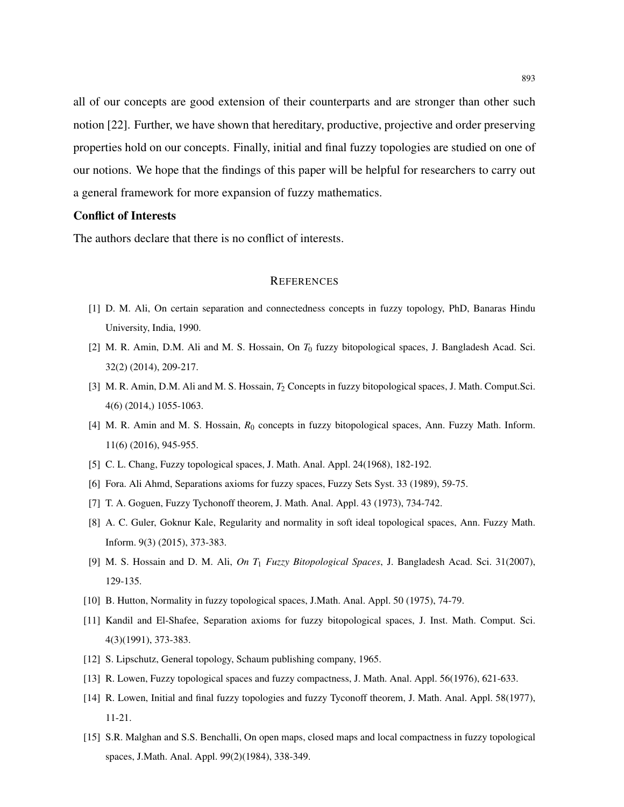all of our concepts are good extension of their counterparts and are stronger than other such notion [22]. Further, we have shown that hereditary, productive, projective and order preserving properties hold on our concepts. Finally, initial and final fuzzy topologies are studied on one of our notions. We hope that the findings of this paper will be helpful for researchers to carry out a general framework for more expansion of fuzzy mathematics.

### Conflict of Interests

The authors declare that there is no conflict of interests.

#### **REFERENCES**

- [1] D. M. Ali, On certain separation and connectedness concepts in fuzzy topology, PhD, Banaras Hindu University, India, 1990.
- [2] M. R. Amin, D.M. Ali and M. S. Hossain, On *T*<sup>0</sup> fuzzy bitopological spaces, J. Bangladesh Acad. Sci. 32(2) (2014), 209-217.
- [3] M. R. Amin, D.M. Ali and M. S. Hossain, *T*<sup>2</sup> Concepts in fuzzy bitopological spaces, J. Math. Comput.Sci. 4(6) (2014,) 1055-1063.
- [4] M. R. Amin and M. S. Hossain,  $R_0$  concepts in fuzzy bitopological spaces, Ann. Fuzzy Math. Inform. 11(6) (2016), 945-955.
- [5] C. L. Chang, Fuzzy topological spaces, J. Math. Anal. Appl. 24(1968), 182-192.
- [6] Fora. Ali Ahmd, Separations axioms for fuzzy spaces, Fuzzy Sets Syst. 33 (1989), 59-75.
- [7] T. A. Goguen, Fuzzy Tychonoff theorem, J. Math. Anal. Appl. 43 (1973), 734-742.
- [8] A. C. Guler, Goknur Kale, Regularity and normality in soft ideal topological spaces, Ann. Fuzzy Math. Inform. 9(3) (2015), 373-383.
- [9] M. S. Hossain and D. M. Ali, *On T*<sup>1</sup> *Fuzzy Bitopological Spaces*, J. Bangladesh Acad. Sci. 31(2007), 129-135.
- [10] B. Hutton, Normality in fuzzy topological spaces, J.Math. Anal. Appl. 50 (1975), 74-79.
- [11] Kandil and El-Shafee, Separation axioms for fuzzy bitopological spaces, J. Inst. Math. Comput. Sci. 4(3)(1991), 373-383.
- [12] S. Lipschutz, General topology, Schaum publishing company, 1965.
- [13] R. Lowen, Fuzzy topological spaces and fuzzy compactness, J. Math. Anal. Appl. 56(1976), 621-633.
- [14] R. Lowen, Initial and final fuzzy topologies and fuzzy Tyconoff theorem, J. Math. Anal. Appl. 58(1977), 11-21.
- [15] S.R. Malghan and S.S. Benchalli, On open maps, closed maps and local compactness in fuzzy topological spaces, J.Math. Anal. Appl. 99(2)(1984), 338-349.